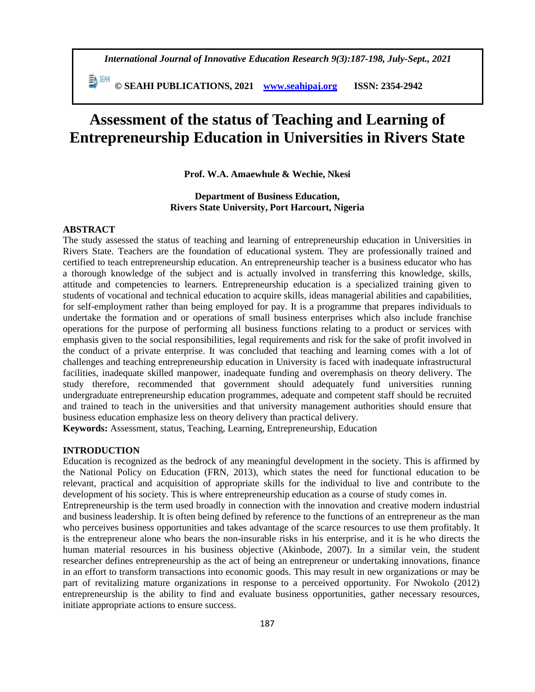*International Journal of Innovative Education Research 9(3):187-198, July-Sept., 2021*

 **© SEAHI PUBLICATIONS, 2021 [www.seahipaj.org](http://www.seahipaj.org/) ISSN: 2354-2942**

# **Assessment of the status of Teaching and Learning of Entrepreneurship Education in Universities in Rivers State**

**Prof. W.A. Amaewhule & Wechie, Nkesi**

## **Department of Business Education, Rivers State University, Port Harcourt, Nigeria**

#### **ABSTRACT**

The study assessed the status of teaching and learning of entrepreneurship education in Universities in Rivers State. Teachers are the foundation of educational system. They are professionally trained and certified to teach entrepreneurship education. An entrepreneurship teacher is a business educator who has a thorough knowledge of the subject and is actually involved in transferring this knowledge, skills, attitude and competencies to learners. Entrepreneurship education is a specialized training given to students of vocational and technical education to acquire skills, ideas managerial abilities and capabilities, for self-employment rather than being employed for pay. It is a programme that prepares individuals to undertake the formation and or operations of small business enterprises which also include franchise operations for the purpose of performing all business functions relating to a product or services with emphasis given to the social responsibilities, legal requirements and risk for the sake of profit involved in the conduct of a private enterprise. It was concluded that teaching and learning comes with a lot of challenges and teaching entrepreneurship education in University is faced with inadequate infrastructural facilities, inadequate skilled manpower, inadequate funding and overemphasis on theory delivery. The study therefore, recommended that government should adequately fund universities running undergraduate entrepreneurship education programmes, adequate and competent staff should be recruited and trained to teach in the universities and that university management authorities should ensure that business education emphasize less on theory delivery than practical delivery.

**Keywords:** Assessment, status, Teaching, Learning, Entrepreneurship, Education

#### **INTRODUCTION**

Education is recognized as the bedrock of any meaningful development in the society. This is affirmed by the National Policy on Education (FRN, 2013), which states the need for functional education to be relevant, practical and acquisition of appropriate skills for the individual to live and contribute to the development of his society. This is where entrepreneurship education as a course of study comes in.

Entrepreneurship is the term used broadly in connection with the innovation and creative modern industrial and business leadership. It is often being defined by reference to the functions of an entrepreneur as the man who perceives business opportunities and takes advantage of the scarce resources to use them profitably. It is the entrepreneur alone who bears the non-insurable risks in his enterprise, and it is he who directs the human material resources in his business objective (Akinbode, 2007). In a similar vein, the student researcher defines entrepreneurship as the act of being an entrepreneur or undertaking innovations, finance in an effort to transform transactions into economic goods. This may result in new organizations or may be part of revitalizing mature organizations in response to a perceived opportunity. For Nwokolo (2012) entrepreneurship is the ability to find and evaluate business opportunities, gather necessary resources, initiate appropriate actions to ensure success.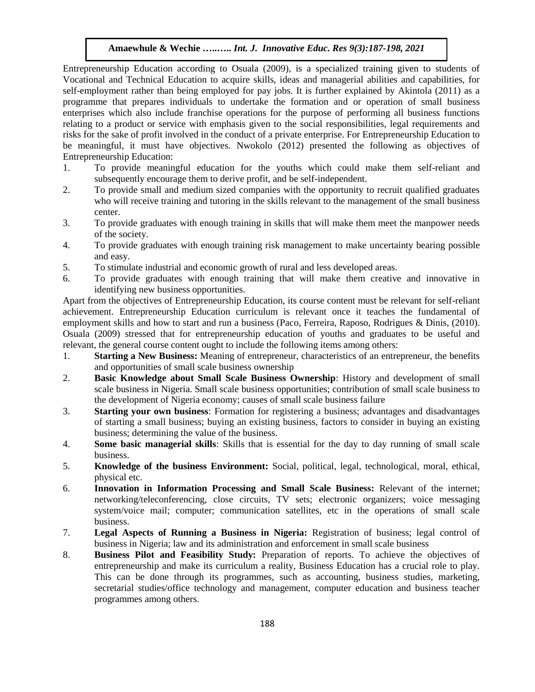Entrepreneurship Education according to Osuala (2009), is a specialized training given to students of Vocational and Technical Education to acquire skills, ideas and managerial abilities and capabilities, for self-employment rather than being employed for pay jobs. It is further explained by Akintola (2011) as a programme that prepares individuals to undertake the formation and or operation of small business enterprises which also include franchise operations for the purpose of performing all business functions relating to a product or service with emphasis given to the social responsibilities, legal requirements and risks for the sake of profit involved in the conduct of a private enterprise. For Entrepreneurship Education to be meaningful, it must have objectives. Nwokolo (2012) presented the following as objectives of Entrepreneurship Education:

- 1. To provide meaningful education for the youths which could make them self-reliant and subsequently encourage them to derive profit, and be self-independent.
- 2. To provide small and medium sized companies with the opportunity to recruit qualified graduates who will receive training and tutoring in the skills relevant to the management of the small business center.
- 3. To provide graduates with enough training in skills that will make them meet the manpower needs of the society.
- 4. To provide graduates with enough training risk management to make uncertainty bearing possible and easy.
- 5. To stimulate industrial and economic growth of rural and less developed areas.
- 6. To provide graduates with enough training that will make them creative and innovative in identifying new business opportunities.

Apart from the objectives of Entrepreneurship Education, its course content must be relevant for self-reliant achievement. Entrepreneurship Education curriculum is relevant once it teaches the fundamental of employment skills and how to start and run a business (Paco, Ferreira, Raposo, Rodrigues & Dinis, (2010). Osuala (2009) stressed that for entrepreneurship education of youths and graduates to be useful and relevant, the general course content ought to include the following items among others:

- 1. **Starting a New Business:** Meaning of entrepreneur, characteristics of an entrepreneur, the benefits and opportunities of small scale business ownership
- 2. **Basic Knowledge about Small Scale Business Ownership**: History and development of small scale business in Nigeria. Small scale business opportunities; contribution of small scale business to the development of Nigeria economy; causes of small scale business failure
- 3. **Starting your own business**: Formation for registering a business; advantages and disadvantages of starting a small business; buying an existing business, factors to consider in buying an existing business; determining the value of the business.
- 4. **Some basic managerial skills**: Skills that is essential for the day to day running of small scale business.
- 5. **Knowledge of the business Environment:** Social, political, legal, technological, moral, ethical, physical etc.
- 6. **Innovation in Information Processing and Small Scale Business:** Relevant of the internet; networking/teleconferencing, close circuits, TV sets; electronic organizers; voice messaging system/voice mail; computer; communication satellites, etc in the operations of small scale business.
- 7. **Legal Aspects of Running a Business in Nigeria:** Registration of business; legal control of business in Nigeria; law and its administration and enforcement in small scale business
- 8. **Business Pilot and Feasibility Study:** Preparation of reports. To achieve the objectives of entrepreneurship and make its curriculum a reality, Business Education has a crucial role to play. This can be done through its programmes, such as accounting, business studies, marketing, secretarial studies/office technology and management, computer education and business teacher programmes among others.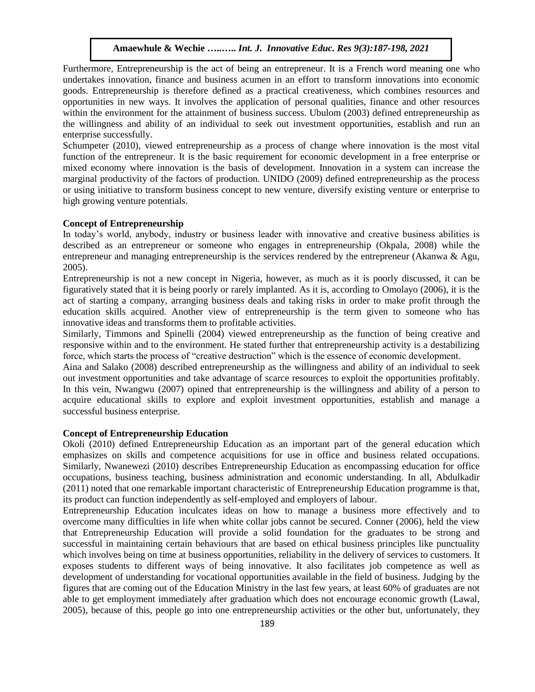Furthermore, Entrepreneurship is the act of being an entrepreneur. It is a French word meaning one who undertakes innovation, finance and business acumen in an effort to transform innovations into economic goods. Entrepreneurship is therefore defined as a practical creativeness, which combines resources and opportunities in new ways. It involves the application of personal qualities, finance and other resources within the environment for the attainment of business success. Ubulom (2003) defined entrepreneurship as the willingness and ability of an individual to seek out investment opportunities, establish and run an enterprise successfully.

Schumpeter (2010), viewed entrepreneurship as a process of change where innovation is the most vital function of the entrepreneur. It is the basic requirement for economic development in a free enterprise or mixed economy where innovation is the basis of development. Innovation in a system can increase the marginal productivity of the factors of production. UNIDO (2009) defined entrepreneurship as the process or using initiative to transform business concept to new venture, diversify existing venture or enterprise to high growing venture potentials.

#### **Concept of Entrepreneurship**

In today's world, anybody, industry or business leader with innovative and creative business abilities is described as an entrepreneur or someone who engages in entrepreneurship (Okpala, 2008) while the entrepreneur and managing entrepreneurship is the services rendered by the entrepreneur (Akanwa & Agu, 2005).

Entrepreneurship is not a new concept in Nigeria, however, as much as it is poorly discussed, it can be figuratively stated that it is being poorly or rarely implanted. As it is, according to Omolayo (2006), it is the act of starting a company, arranging business deals and taking risks in order to make profit through the education skills acquired. Another view of entrepreneurship is the term given to someone who has innovative ideas and transforms them to profitable activities.

Similarly, Timmons and Spinelli (2004) viewed entrepreneurship as the function of being creative and responsive within and to the environment. He stated further that entrepreneurship activity is a destabilizing force, which starts the process of "creative destruction" which is the essence of economic development.

Aina and Salako (2008) described entrepreneurship as the willingness and ability of an individual to seek out investment opportunities and take advantage of scarce resources to exploit the opportunities profitably. In this vein, Nwangwu (2007) opined that entrepreneurship is the willingness and ability of a person to acquire educational skills to explore and exploit investment opportunities, establish and manage a successful business enterprise.

#### **Concept of Entrepreneurship Education**

Okoli (2010) defined Entrepreneurship Education as an important part of the general education which emphasizes on skills and competence acquisitions for use in office and business related occupations. Similarly, Nwanewezi (2010) describes Entrepreneurship Education as encompassing education for office occupations, business teaching, business administration and economic understanding. In all, Abdulkadir (2011) noted that one remarkable important characteristic of Entrepreneurship Education programme is that, its product can function independently as self-employed and employers of labour.

Entrepreneurship Education inculcates ideas on how to manage a business more effectively and to overcome many difficulties in life when white collar jobs cannot be secured. Conner (2006), held the view that Entrepreneurship Education will provide a solid foundation for the graduates to be strong and successful in maintaining certain behaviours that are based on ethical business principles like punctuality which involves being on time at business opportunities, reliability in the delivery of services to customers. It exposes students to different ways of being innovative. It also facilitates job competence as well as development of understanding for vocational opportunities available in the field of business. Judging by the figures that are coming out of the Education Ministry in the last few years, at least 60% of graduates are not able to get employment immediately after graduation which does not encourage economic growth (Lawal, 2005), because of this, people go into one entrepreneurship activities or the other but, unfortunately, they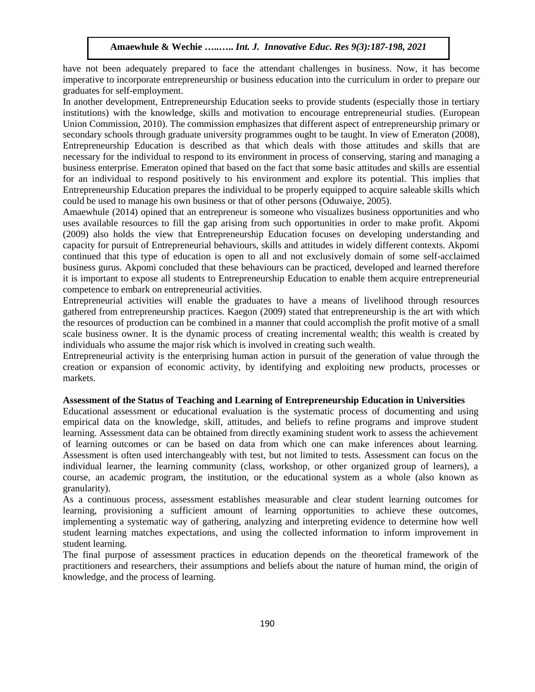have not been adequately prepared to face the attendant challenges in business. Now, it has become imperative to incorporate entrepreneurship or business education into the curriculum in order to prepare our graduates for self-employment.

In another development, Entrepreneurship Education seeks to provide students (especially those in tertiary institutions) with the knowledge, skills and motivation to encourage entrepreneurial studies. (European Union Commission, 2010). The commission emphasizes that different aspect of entrepreneurship primary or secondary schools through graduate university programmes ought to be taught. In view of Emeraton (2008), Entrepreneurship Education is described as that which deals with those attitudes and skills that are necessary for the individual to respond to its environment in process of conserving, staring and managing a business enterprise. Emeraton opined that based on the fact that some basic attitudes and skills are essential for an individual to respond positively to his environment and explore its potential. This implies that Entrepreneurship Education prepares the individual to be properly equipped to acquire saleable skills which could be used to manage his own business or that of other persons (Oduwaiye, 2005).

Amaewhule (2014) opined that an entrepreneur is someone who visualizes business opportunities and who uses available resources to fill the gap arising from such opportunities in order to make profit. Akpomi (2009) also holds the view that Entrepreneurship Education focuses on developing understanding and capacity for pursuit of Entrepreneurial behaviours, skills and attitudes in widely different contexts. Akpomi continued that this type of education is open to all and not exclusively domain of some self-acclaimed business gurus. Akpomi concluded that these behaviours can be practiced, developed and learned therefore it is important to expose all students to Entrepreneurship Education to enable them acquire entrepreneurial competence to embark on entrepreneurial activities.

Entrepreneurial activities will enable the graduates to have a means of livelihood through resources gathered from entrepreneurship practices. Kaegon (2009) stated that entrepreneurship is the art with which the resources of production can be combined in a manner that could accomplish the profit motive of a small scale business owner. It is the dynamic process of creating incremental wealth; this wealth is created by individuals who assume the major risk which is involved in creating such wealth.

Entrepreneurial activity is the enterprising human action in pursuit of the generation of value through the creation or expansion of economic activity, by identifying and exploiting new products, processes or markets.

## **Assessment of the Status of Teaching and Learning of Entrepreneurship Education in Universities**

Educational assessment or educational evaluation is the systematic process of [documenting](https://en.wikipedia.org/wiki/Documenting) and using empirical data on the [knowledge,](https://en.wikipedia.org/wiki/Knowledge) [skill,](https://en.wikipedia.org/wiki/Skill) attitudes, and [beliefs](https://en.wikipedia.org/wiki/Belief) to refine programs and improve student learning. Assessment data can be obtained from directly examining student work to assess the achievement of learning outcomes or can be based on data from which one can make inferences about learning. Assessment is often used interchangeably with test, but not limited to tests. Assessment can focus on the individual learner, the learning community (class, workshop, or other organized group of learners), a course, an academic program, the institution, or the educational system as a whole (also known as granularity).

As a continuous process, assessment establishes measurable and clear student learning outcomes for learning, provisioning a sufficient amount of learning opportunities to achieve these outcomes, implementing a systematic way of gathering, analyzing and interpreting evidence to determine how well student learning matches expectations, and using the collected information to inform improvement in student learning.

The final purpose of assessment practices in education depends on the theoretical framework of the practitioners and researchers, their assumptions and beliefs about the nature of human mind, the origin of knowledge, and the process of learning.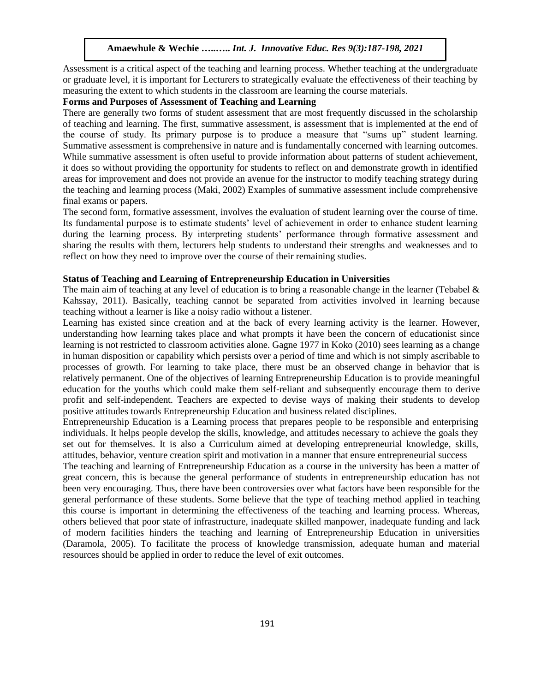Assessment is a critical aspect of the teaching and learning process. Whether teaching at the undergraduate or graduate level, it is important for Lecturers to strategically evaluate the effectiveness of their teaching by measuring the extent to which students in the classroom are learning the course materials.

# **Forms and Purposes of Assessment of Teaching and Learning**

There are generally two forms of student assessment that are most frequently discussed in the scholarship of teaching and learning. The first, summative assessment, is assessment that is implemented at the end of the course of study. Its primary purpose is to produce a measure that "sums up" student learning. Summative assessment is comprehensive in nature and is fundamentally concerned with learning outcomes. While summative assessment is often useful to provide information about patterns of student achievement, it does so without providing the opportunity for students to reflect on and demonstrate growth in identified areas for improvement and does not provide an avenue for the instructor to modify teaching strategy during the teaching and learning process (Maki, 2002) Examples of summative assessment include comprehensive final exams or papers.

The second form, formative assessment, involves the evaluation of student learning over the course of time. Its fundamental purpose is to estimate students' level of achievement in order to enhance student learning during the learning process. By interpreting students' performance through formative assessment and sharing the results with them, lecturers help students to understand their strengths and weaknesses and to reflect on how they need to improve over the course of their remaining studies.

## **Status of Teaching and Learning of Entrepreneurship Education in Universities**

The main aim of teaching at any level of education is to bring a reasonable change in the learner (Tebabel  $\&$ Kahssay, 2011). Basically, teaching cannot be separated from activities involved in learning because teaching without a learner is like a noisy radio without a listener.

Learning has existed since creation and at the back of every learning activity is the learner. However, understanding how learning takes place and what prompts it have been the concern of educationist since learning is not restricted to classroom activities alone. Gagne 1977 in Koko (2010) sees learning as a change in human disposition or capability which persists over a period of time and which is not simply ascribable to processes of growth. For learning to take place, there must be an observed change in behavior that is relatively permanent. One of the objectives of learning Entrepreneurship Education is to provide meaningful education for the youths which could make them self-reliant and subsequently encourage them to derive profit and self-independent. Teachers are expected to devise ways of making their students to develop positive attitudes towards Entrepreneurship Education and business related disciplines.

Entrepreneurship Education is a Learning process that prepares people to be responsible and enterprising individuals. It helps people develop the skills, knowledge, and attitudes necessary to achieve the goals they set out for themselves. It is also a Curriculum aimed at developing entrepreneurial knowledge, skills, attitudes, behavior, venture creation spirit and motivation in a manner that ensure entrepreneurial success

The teaching and learning of Entrepreneurship Education as a course in the university has been a matter of great concern, this is because the general performance of students in entrepreneurship education has not been very encouraging. Thus, there have been controversies over what factors have been responsible for the general performance of these students. Some believe that the type of teaching method applied in teaching this course is important in determining the effectiveness of the teaching and learning process. Whereas, others believed that poor state of infrastructure, inadequate skilled manpower, inadequate funding and lack of modern facilities hinders the teaching and learning of Entrepreneurship Education in universities (Daramola, 2005). To facilitate the process of knowledge transmission, adequate human and material resources should be applied in order to reduce the level of exit outcomes.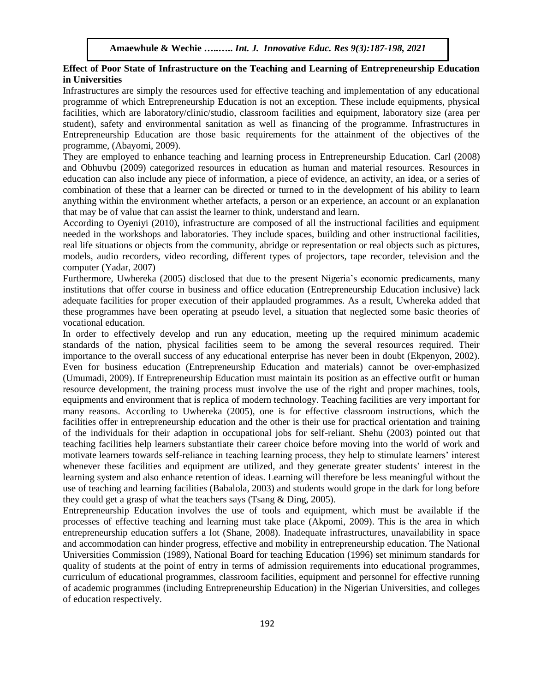# **Effect of Poor State of Infrastructure on the Teaching and Learning of Entrepreneurship Education in Universities**

Infrastructures are simply the resources used for effective teaching and implementation of any educational programme of which Entrepreneurship Education is not an exception. These include equipments, physical facilities, which are laboratory/clinic/studio, classroom facilities and equipment, laboratory size (area per student), safety and environmental sanitation as well as financing of the programme. Infrastructures in Entrepreneurship Education are those basic requirements for the attainment of the objectives of the programme, (Abayomi, 2009).

They are employed to enhance teaching and learning process in Entrepreneurship Education. Carl (2008) and Obhuvbu (2009) categorized resources in education as human and material resources. Resources in education can also include any piece of information, a piece of evidence, an activity, an idea, or a series of combination of these that a learner can be directed or turned to in the development of his ability to learn anything within the environment whether artefacts, a person or an experience, an account or an explanation that may be of value that can assist the learner to think, understand and learn.

According to Oyeniyi (2010), infrastructure are composed of all the instructional facilities and equipment needed in the workshops and laboratories. They include spaces, building and other instructional facilities, real life situations or objects from the community, abridge or representation or real objects such as pictures, models, audio recorders, video recording, different types of projectors, tape recorder, television and the computer (Yadar, 2007)

Furthermore, Uwhereka (2005) disclosed that due to the present Nigeria's economic predicaments, many institutions that offer course in business and office education (Entrepreneurship Education inclusive) lack adequate facilities for proper execution of their applauded programmes. As a result, Uwhereka added that these programmes have been operating at pseudo level, a situation that neglected some basic theories of vocational education.

In order to effectively develop and run any education, meeting up the required minimum academic standards of the nation, physical facilities seem to be among the several resources required. Their importance to the overall success of any educational enterprise has never been in doubt (Ekpenyon, 2002). Even for business education (Entrepreneurship Education and materials) cannot be over-emphasized (Umumadi, 2009). If Entrepreneurship Education must maintain its position as an effective outfit or human resource development, the training process must involve the use of the right and proper machines, tools, equipments and environment that is replica of modern technology. Teaching facilities are very important for many reasons. According to Uwhereka (2005), one is for effective classroom instructions, which the facilities offer in entrepreneurship education and the other is their use for practical orientation and training of the individuals for their adaption in occupational jobs for self-reliant. Shehu (2003) pointed out that teaching facilities help learners substantiate their career choice before moving into the world of work and motivate learners towards self-reliance in teaching learning process, they help to stimulate learners' interest whenever these facilities and equipment are utilized, and they generate greater students' interest in the learning system and also enhance retention of ideas. Learning will therefore be less meaningful without the use of teaching and learning facilities (Babalola, 2003) and students would grope in the dark for long before they could get a grasp of what the teachers says (Tsang & Ding, 2005).

Entrepreneurship Education involves the use of tools and equipment, which must be available if the processes of effective teaching and learning must take place (Akpomi, 2009). This is the area in which entrepreneurship education suffers a lot (Shane, 2008). Inadequate infrastructures, unavailability in space and accommodation can hinder progress, effective and mobility in entrepreneurship education. The National Universities Commission (1989), National Board for teaching Education (1996) set minimum standards for quality of students at the point of entry in terms of admission requirements into educational programmes, curriculum of educational programmes, classroom facilities, equipment and personnel for effective running of academic programmes (including Entrepreneurship Education) in the Nigerian Universities, and colleges of education respectively.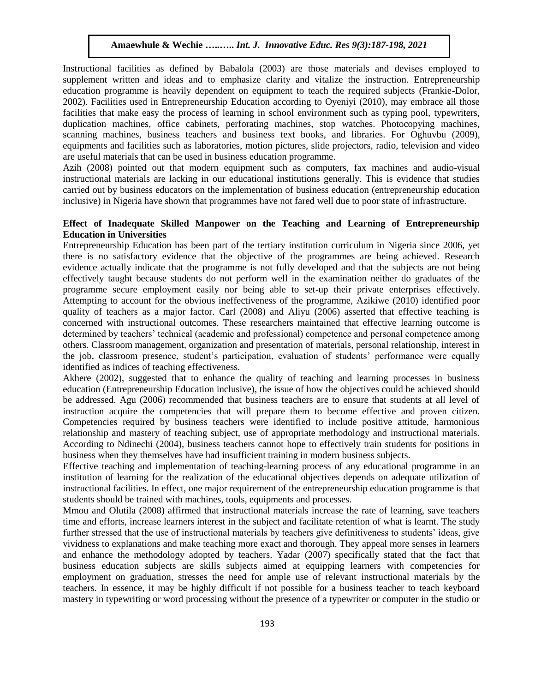Instructional facilities as defined by Babalola (2003) are those materials and devises employed to supplement written and ideas and to emphasize clarity and vitalize the instruction. Entrepreneurship education programme is heavily dependent on equipment to teach the required subjects (Frankie-Dolor, 2002). Facilities used in Entrepreneurship Education according to Oyeniyi (2010), may embrace all those facilities that make easy the process of learning in school environment such as typing pool, typewriters, duplication machines, office cabinets, perforating machines, stop watches. Photocopying machines, scanning machines, business teachers and business text books, and libraries. For Oghuvbu (2009), equipments and facilities such as laboratories, motion pictures, slide projectors, radio, television and video are useful materials that can be used in business education programme.

Azih (2008) pointed out that modern equipment such as computers, fax machines and audio-visual instructional materials are lacking in our educational institutions generally. This is evidence that studies carried out by business educators on the implementation of business education (entrepreneurship education inclusive) in Nigeria have shown that programmes have not fared well due to poor state of infrastructure.

## **Effect of Inadequate Skilled Manpower on the Teaching and Learning of Entrepreneurship Education in Universities**

Entrepreneurship Education has been part of the tertiary institution curriculum in Nigeria since 2006, yet there is no satisfactory evidence that the objective of the programmes are being achieved. Research evidence actually indicate that the programme is not fully developed and that the subjects are not being effectively taught because students do not perform well in the examination neither do graduates of the programme secure employment easily nor being able to set-up their private enterprises effectively. Attempting to account for the obvious ineffectiveness of the programme, Azikiwe (2010) identified poor quality of teachers as a major factor. Carl (2008) and Aliyu (2006) asserted that effective teaching is concerned with instructional outcomes. These researchers maintained that effective learning outcome is determined by teachers' technical (academic and professional) competence and personal competence among others. Classroom management, organization and presentation of materials, personal relationship, interest in the job, classroom presence, student's participation, evaluation of students' performance were equally identified as indices of teaching effectiveness.

Akhere (2002), suggested that to enhance the quality of teaching and learning processes in business education (Entrepreneurship Education inclusive), the issue of how the objectives could be achieved should be addressed. Agu (2006) recommended that business teachers are to ensure that students at all level of instruction acquire the competencies that will prepare them to become effective and proven citizen. Competencies required by business teachers were identified to include positive attitude, harmonious relationship and mastery of teaching subject, use of appropriate methodology and instructional materials. According to Ndinechi (2004), business teachers cannot hope to effectively train students for positions in business when they themselves have had insufficient training in modern business subjects.

Effective teaching and implementation of teaching-learning process of any educational programme in an institution of learning for the realization of the educational objectives depends on adequate utilization of instructional facilities. In effect, one major requirement of the entrepreneurship education programme is that students should be trained with machines, tools, equipments and processes.

Mmou and Olutila (2008) affirmed that instructional materials increase the rate of learning, save teachers time and efforts, increase learners interest in the subject and facilitate retention of what is learnt. The study further stressed that the use of instructional materials by teachers give definitiveness to students' ideas, give vividness to explanations and make teaching more exact and thorough. They appeal more senses in learners and enhance the methodology adopted by teachers. Yadar (2007) specifically stated that the fact that business education subjects are skills subjects aimed at equipping learners with competencies for employment on graduation, stresses the need for ample use of relevant instructional materials by the teachers. In essence, it may be highly difficult if not possible for a business teacher to teach keyboard mastery in typewriting or word processing without the presence of a typewriter or computer in the studio or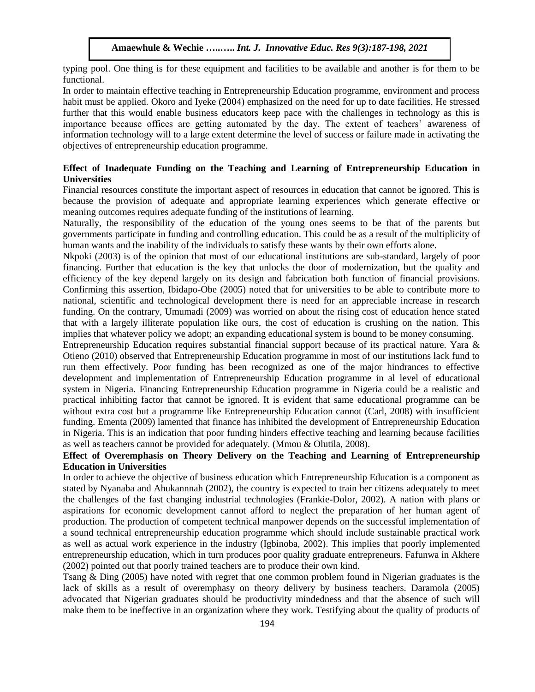typing pool. One thing is for these equipment and facilities to be available and another is for them to be functional.

In order to maintain effective teaching in Entrepreneurship Education programme, environment and process habit must be applied. Okoro and Iyeke (2004) emphasized on the need for up to date facilities. He stressed further that this would enable business educators keep pace with the challenges in technology as this is importance because offices are getting automated by the day. The extent of teachers' awareness of information technology will to a large extent determine the level of success or failure made in activating the objectives of entrepreneurship education programme.

# **Effect of Inadequate Funding on the Teaching and Learning of Entrepreneurship Education in Universities**

Financial resources constitute the important aspect of resources in education that cannot be ignored. This is because the provision of adequate and appropriate learning experiences which generate effective or meaning outcomes requires adequate funding of the institutions of learning.

Naturally, the responsibility of the education of the young ones seems to be that of the parents but governments participate in funding and controlling education. This could be as a result of the multiplicity of human wants and the inability of the individuals to satisfy these wants by their own efforts alone.

Nkpoki (2003) is of the opinion that most of our educational institutions are sub-standard, largely of poor financing. Further that education is the key that unlocks the door of modernization, but the quality and efficiency of the key depend largely on its design and fabrication both function of financial provisions. Confirming this assertion, Ibidapo-Obe (2005) noted that for universities to be able to contribute more to national, scientific and technological development there is need for an appreciable increase in research funding. On the contrary, Umumadi (2009) was worried on about the rising cost of education hence stated that with a largely illiterate population like ours, the cost of education is crushing on the nation. This implies that whatever policy we adopt; an expanding educational system is bound to be money consuming.

Entrepreneurship Education requires substantial financial support because of its practical nature. Yara & Otieno (2010) observed that Entrepreneurship Education programme in most of our institutions lack fund to run them effectively. Poor funding has been recognized as one of the major hindrances to effective development and implementation of Entrepreneurship Education programme in al level of educational system in Nigeria. Financing Entrepreneurship Education programme in Nigeria could be a realistic and practical inhibiting factor that cannot be ignored. It is evident that same educational programme can be without extra cost but a programme like Entrepreneurship Education cannot (Carl, 2008) with insufficient funding. Ementa (2009) lamented that finance has inhibited the development of Entrepreneurship Education in Nigeria. This is an indication that poor funding hinders effective teaching and learning because facilities as well as teachers cannot be provided for adequately. (Mmou & Olutila, 2008).

# **Effect of Overemphasis on Theory Delivery on the Teaching and Learning of Entrepreneurship Education in Universities**

In order to achieve the objective of business education which Entrepreneurship Education is a component as stated by Nyanaba and Ahukannnah (2002), the country is expected to train her citizens adequately to meet the challenges of the fast changing industrial technologies (Frankie-Dolor, 2002). A nation with plans or aspirations for economic development cannot afford to neglect the preparation of her human agent of production. The production of competent technical manpower depends on the successful implementation of a sound technical entrepreneurship education programme which should include sustainable practical work as well as actual work experience in the industry (Igbinoba, 2002). This implies that poorly implemented entrepreneurship education, which in turn produces poor quality graduate entrepreneurs. Fafunwa in Akhere (2002) pointed out that poorly trained teachers are to produce their own kind.

Tsang & Ding (2005) have noted with regret that one common problem found in Nigerian graduates is the lack of skills as a result of overemphasy on theory delivery by business teachers. Daramola (2005) advocated that Nigerian graduates should be productivity mindedness and that the absence of such will make them to be ineffective in an organization where they work. Testifying about the quality of products of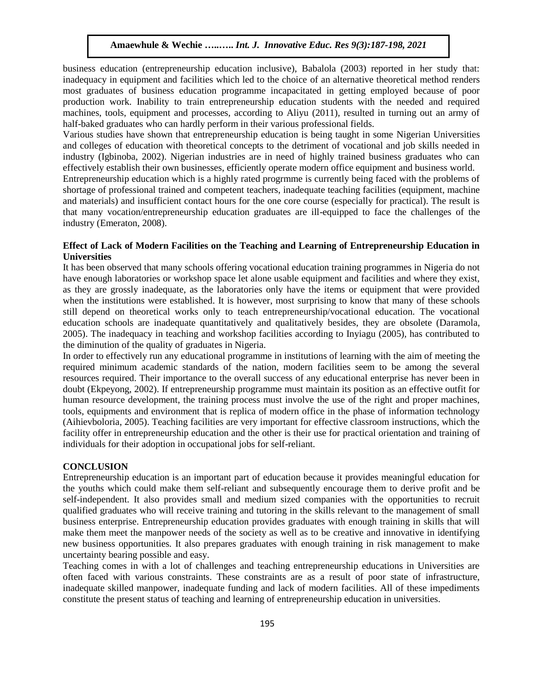business education (entrepreneurship education inclusive), Babalola (2003) reported in her study that: inadequacy in equipment and facilities which led to the choice of an alternative theoretical method renders most graduates of business education programme incapacitated in getting employed because of poor production work. Inability to train entrepreneurship education students with the needed and required machines, tools, equipment and processes, according to Aliyu (2011), resulted in turning out an army of half-baked graduates who can hardly perform in their various professional fields.

Various studies have shown that entrepreneurship education is being taught in some Nigerian Universities and colleges of education with theoretical concepts to the detriment of vocational and job skills needed in industry (Igbinoba, 2002). Nigerian industries are in need of highly trained business graduates who can effectively establish their own businesses, efficiently operate modern office equipment and business world.

Entrepreneurship education which is a highly rated progrmme is currently being faced with the problems of shortage of professional trained and competent teachers, inadequate teaching facilities (equipment, machine and materials) and insufficient contact hours for the one core course (especially for practical). The result is that many vocation/entrepreneurship education graduates are ill-equipped to face the challenges of the industry (Emeraton, 2008).

## **Effect of Lack of Modern Facilities on the Teaching and Learning of Entrepreneurship Education in Universities**

It has been observed that many schools offering vocational education training programmes in Nigeria do not have enough laboratories or workshop space let alone usable equipment and facilities and where they exist, as they are grossly inadequate, as the laboratories only have the items or equipment that were provided when the institutions were established. It is however, most surprising to know that many of these schools still depend on theoretical works only to teach entrepreneurship/vocational education. The vocational education schools are inadequate quantitatively and qualitatively besides, they are obsolete (Daramola, 2005). The inadequacy in teaching and workshop facilities according to Inyiagu (2005), has contributed to the diminution of the quality of graduates in Nigeria.

In order to effectively run any educational programme in institutions of learning with the aim of meeting the required minimum academic standards of the nation, modern facilities seem to be among the several resources required. Their importance to the overall success of any educational enterprise has never been in doubt (Ekpeyong, 2002). If entrepreneurship programme must maintain its position as an effective outfit for human resource development, the training process must involve the use of the right and proper machines, tools, equipments and environment that is replica of modern office in the phase of information technology (Aihievboloria, 2005). Teaching facilities are very important for effective classroom instructions, which the facility offer in entrepreneurship education and the other is their use for practical orientation and training of individuals for their adoption in occupational jobs for self-reliant.

#### **CONCLUSION**

Entrepreneurship education is an important part of education because it provides meaningful education for the youths which could make them self-reliant and subsequently encourage them to derive profit and be self-independent. It also provides small and medium sized companies with the opportunities to recruit qualified graduates who will receive training and tutoring in the skills relevant to the management of small business enterprise. Entrepreneurship education provides graduates with enough training in skills that will make them meet the manpower needs of the society as well as to be creative and innovative in identifying new business opportunities. It also prepares graduates with enough training in risk management to make uncertainty bearing possible and easy.

Teaching comes in with a lot of challenges and teaching entrepreneurship educations in Universities are often faced with various constraints. These constraints are as a result of poor state of infrastructure, inadequate skilled manpower, inadequate funding and lack of modern facilities. All of these impediments constitute the present status of teaching and learning of entrepreneurship education in universities.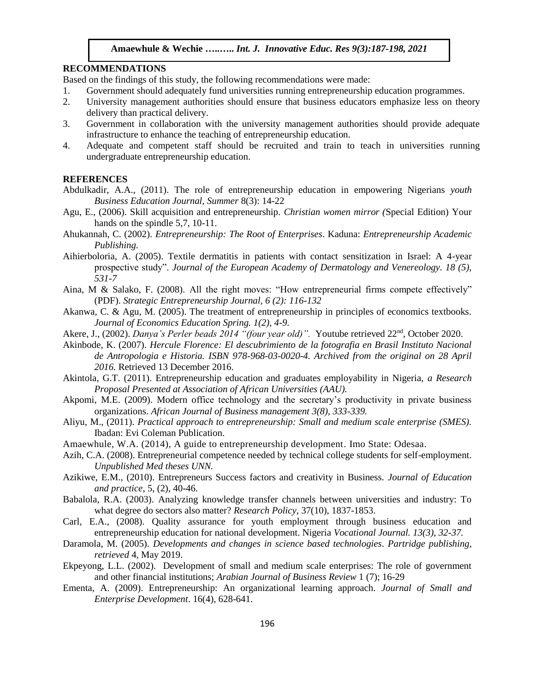# **RECOMMENDATIONS**

Based on the findings of this study, the following recommendations were made:

- 1. Government should adequately fund universities running entrepreneurship education programmes.
- 2. University management authorities should ensure that business educators emphasize less on theory delivery than practical delivery.
- 3. Government in collaboration with the university management authorities should provide adequate infrastructure to enhance the teaching of entrepreneurship education.
- 4. Adequate and competent staff should be recruited and train to teach in universities running undergraduate entrepreneurship education.

# **REFERENCES**

- Abdulkadir, A.A., (2011). The role of entrepreneurship education in empowering Nigerians *youth Business Education Journal, Summer* 8(3): 14-22
- Agu, E., (2006). Skill acquisition and entrepreneurship*. Christian women mirror (*Special Edition) Your hands on the spindle 5,7, 10-11.
- Ahukannah, C. (2002). *Entrepreneurship: The Root of Enterprises*. Kaduna: *Entrepreneurship Academic Publishing.*
- Aihierboloria, A. (2005). Textile dermatitis in patients with contact sensitization in Israel: A 4-year prospective study". *Journal of the European Academy of Dermatology and Venereology. 18 (5), 531-7*
- Aina, M & Salako, F. (2008). All the right moves: "How entrepreneurial firms compete effectively" (PDF). *Strategic Entrepreneurship Journal, 6 (2): 116-132*
- Akanwa, C. & Agu, M. (2005). The treatment of entrepreneurship in principles of economics textbooks. *Journal of Economics Education Spring. 1(2), 4-9.*
- Akere, J., (2002). *Danya's Perler beads 2014 "(four year old)".* Youtube retrieved 22nd, October 2020.
- Akinbode, K. (2007). *Hercule Florence: El descubrimiento de la fotografia en Brasil Instituto Nacional de Antropologia e Historia. ISBN 978-968-03-0020-4. Archived from the original on 28 April 2016.* Retrieved 13 December 2016.
- Akintola, G.T. (2011). Entrepreneurship education and graduates employability in Nigeria, *a Research Proposal Presented at Association of African Universities (AAU).*
- Akpomi, M.E. (2009). Modern office technology and the secretary's productivity in private business organizations. *African Journal of Business management 3(8), 333-339.*
- Aliyu, M., (2011). *Practical approach to entrepreneurship: Small and medium scale enterprise (SMES).* Ibadan: Evi Coleman Publication.
- Amaewhule, W.A. (2014), A guide to entrepreneurship development*.* Imo State: Odesaa.
- Azih, C.A. (2008). Entrepreneurial competence needed by technical college students for self-employment. *Unpublished Med theses UNN.*
- Azikiwe, E.M., (2010). Entrepreneurs Success factors and creativity in Business. *Journal of Education and practice*, 5, (2), 40-46.
- Babalola, R.A. (2003). Analyzing knowledge transfer channels between universities and industry: To what degree do sectors also matter? *Research Policy*, 37(10), 1837-1853.
- Carl, E.A., (2008). Quality assurance for youth employment through business education and entrepreneurship education for national development. Nigeria *Vocational Journal. 13(3), 32-37.*
- Daramola, M. (2005). *Developments and changes in science based technologies*. *Partridge publishing, retrieved* 4, May 2019.
- Ekpeyong, L.L. (2002). Development of small and medium scale enterprises: The role of government and other financial institutions; *Arabian Journal of Business Review* 1 (7); 16-29
- Ementa, A. (2009). Entrepreneurship: An organizational learning approach. *Journal of Small and Enterprise Development*. 16(4), 628-641.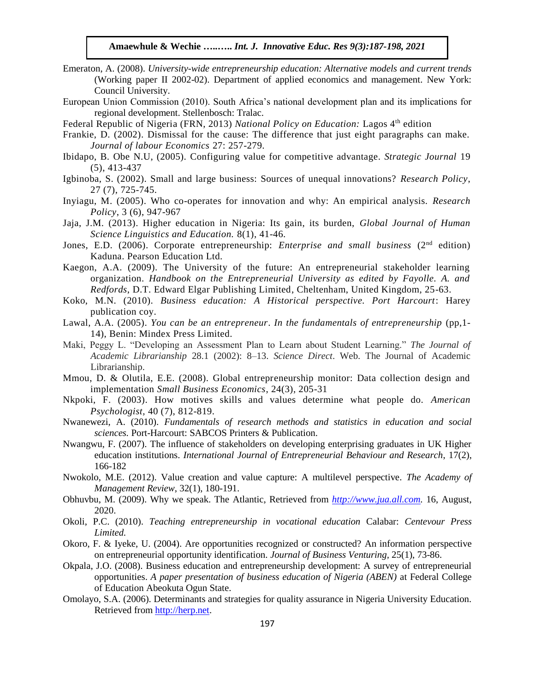- Emeraton, A. (2008). *University-wide entrepreneurship education: Alternative models and current trends* (Working paper II 2002-02). Department of applied economics and management. New York: Council University.
- European Union Commission (2010). South Africa's national development plan and its implications for regional development. Stellenbosch: Tralac.
- Federal Republic of Nigeria (FRN, 2013) *National Policy on Education:* Lagos 4<sup>th</sup> edition
- Frankie, D. (2002). Dismissal for the cause: The difference that just eight paragraphs can make. *Journal of labour Economics* 27: 257-279.
- Ibidapo, B. Obe N.U, (2005). Configuring value for competitive advantage. *Strategic Journal* 19 (5), 413-437
- Igbinoba, S. (2002). Small and large business: Sources of unequal innovations? *Research Policy*, 27 (7), 725-745.
- Inyiagu, M. (2005). Who co-operates for innovation and why: An empirical analysis. *Research Policy*, 3 (6), 947-967
- Jaja, J.M. (2013). Higher education in Nigeria: Its gain, its burden, *Global Journal of Human Science Linguistics and Education.* 8(1), 41-46.
- Jones, E.D. (2006). Corporate entrepreneurship: *Enterprise and small business* (2<sup>nd</sup> edition) Kaduna. Pearson Education Ltd.
- Kaegon, A.A. (2009). The University of the future: An entrepreneurial stakeholder learning organization. *Handbook on the Entrepreneurial University as edited by Fayolle. A. and Redfords*, D.T. Edward Elgar Publishing Limited, Cheltenham, United Kingdom, 25-63.
- Koko, M.N. (2010). *Business education: A Historical perspective. Port Harcourt*: Harey publication coy.
- Lawal, A.A. (2005). *You can be an entrepreneur*. *In the fundamentals of entrepreneurship* (pp,1- 14), Benin: Mindex Press Limited.
- Maki, Peggy L. "Developing an Assessment Plan to Learn about Student Learning." *The Journal of Academic Librarianship* 28.1 (2002): 8–13. *Science Direct*. Web. The Journal of Academic Librarianship.
- Mmou, D. & Olutila, E.E. (2008). Global entrepreneurship monitor: Data collection design and implementation *Small Business Economics*, 24(3), 205-31
- Nkpoki, F. (2003). How motives skills and values determine what people do. *American Psychologist,* 40 (7), 812-819.
- Nwanewezi, A. (2010). *Fundamentals of research methods and statistics in education and social sciences.* Port-Harcourt: SABCOS Printers & Publication.
- Nwangwu, F. (2007). The influence of stakeholders on developing enterprising graduates in UK Higher education institutions. *International Journal of Entrepreneurial Behaviour and Research*, 17(2), 166-182
- Nwokolo, M.E. (2012). Value creation and value capture: A multilevel perspective. *The Academy of Management Review*, 32(1), 180-191.
- Obhuvbu, M. (2009). Why we speak. The Atlantic, Retrieved from *[http://www.jua.all.com.](http://www.jua.all.com/)* 16, August, 2020.
- Okoli, P.C. (2010). *Teaching entrepreneurship in vocational education* Calabar: *Centevour Press Limited.*
- Okoro, F. & Iyeke, U. (2004). Are opportunities recognized or constructed? An information perspective on entrepreneurial opportunity identification. *Journal of Business Venturing,* 25(1), 73-86.
- Okpala, J.O. (2008). Business education and entrepreneurship development: A survey of entrepreneurial opportunities. *A paper presentation of business education of Nigeria (ABEN)* at Federal College of Education Abeokuta Ogun State.
- Omolayo, S.A. (2006). Determinants and strategies for quality assurance in Nigeria University Education. Retrieved fro[m http://herp.net.](http://herp.net/)